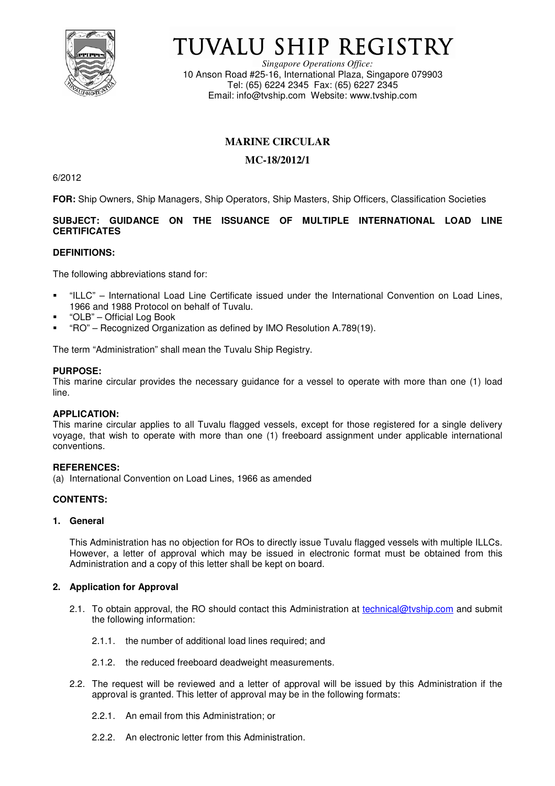

# TUVALU SHIP REGISTRY

*Singapore Operations Office:* 10 Anson Road #25-16, International Plaza, Singapore 079903 Tel: (65) 6224 2345 Fax: (65) 6227 2345 Email: info@tvship.com Website: www.tvship.com

# **MARINE CIRCULAR**

# **MC-18/2012/1**

6/2012

**FOR:** Ship Owners, Ship Managers, Ship Operators, Ship Masters, Ship Officers, Classification Societies

# **SUBJECT: GUIDANCE ON THE ISSUANCE OF MULTIPLE INTERNATIONAL LOAD LINE CERTIFICATES**

# **DEFINITIONS:**

The following abbreviations stand for:

- "ILLC" International Load Line Certificate issued under the International Convention on Load Lines, 1966 and 1988 Protocol on behalf of Tuvalu.
- "OLB" Official Log Book
- "RO" Recognized Organization as defined by IMO Resolution A.789(19).

The term "Administration" shall mean the Tuvalu Ship Registry.

#### **PURPOSE:**

This marine circular provides the necessary guidance for a vessel to operate with more than one (1) load line.

#### **APPLICATION:**

This marine circular applies to all Tuvalu flagged vessels, except for those registered for a single delivery voyage, that wish to operate with more than one (1) freeboard assignment under applicable international conventions.

# **REFERENCES:**

(a) International Convention on Load Lines, 1966 as amended

# **CONTENTS:**

#### **1. General**

This Administration has no objection for ROs to directly issue Tuvalu flagged vessels with multiple ILLCs. However, a letter of approval which may be issued in electronic format must be obtained from this Administration and a copy of this letter shall be kept on board.

#### **2. Application for Approval**

- 2.1. To obtain approval, the RO should contact this Administration at technical@tyship.com and submit the following information:
	- 2.1.1. the number of additional load lines required; and
	- 2.1.2. the reduced freeboard deadweight measurements.
- 2.2. The request will be reviewed and a letter of approval will be issued by this Administration if the approval is granted. This letter of approval may be in the following formats:
	- 2.2.1. An email from this Administration; or
	- 2.2.2. An electronic letter from this Administration.